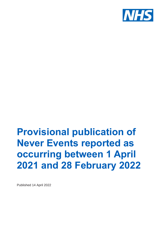

# **Provisional publication of Never Events reported as occurring between 1 April 2021 and 28 February 2022**

Published 14 April 2022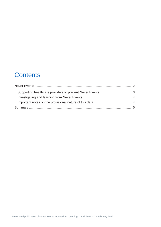## **Contents**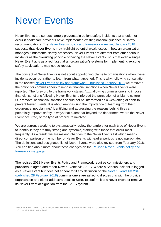# <span id="page-2-0"></span>Never Events

Never Events are serious, largely preventable patient safety incidents that should not occur if healthcare providers have implemented existing national guidance or safety recommendations. The [Never Events policy and framework –](https://www.england.nhs.uk/patient-safety/revised-never-events-policy-and-framework/) revised January 2018 suggests that Never Events may highlight potential weaknesses in how an organisation manages fundamental safety processes. Never Events are different from other serious incidents as the overriding principle of having the Never Events list is that even a single Never Event acts as a red flag that an organisation's systems for implementing existing safety advice/alerts may not be robust.

The concept of Never Events is not about apportioning blame to organisations when these incidents occur but rather to learn from what happened. This is why, following consultation, in the revised [Never Events policy and framework –](https://www.england.nhs.uk/patient-safety/revised-never-events-policy-and-framework/) published January 2018 we removed the option for commissioners to impose financial sanctions when Never Events were reported. The foreword to the framework states: "……allowing commissioners to impose financial sanctions following Never Events reinforced the perception of a 'blame culture'. Our removal of financial sanctions should not be interpreted as a weakening of effort to prevent Never Events. It is about emphasising the importance of learning from their occurrence, not blaming." Identifying and addressing the reasons behind this can potentially improve safety in ways that extend far beyond the department where the Never Event occurred, or the type of procedure involved.

We are currently working to systematically review the barriers for each type of Never Event to identify if they are truly strong and systemic, starting with those that occur most frequently. As a result, we are making changes to the Never Events list which means direct comparison of the number of Never Events with earlier periods is not appropriate. The definitions and designated list of Never Events were also revised from February 2018. You can find about more about these changes on the [Revised Never Events policy and](https://www.england.nhs.uk/patient-safety/revised-never-events-policy-and-framework/)  [framework webpage.](https://www.england.nhs.uk/patient-safety/revised-never-events-policy-and-framework/)

The revised 2018 Never Events Policy and Framework requires commissioners and providers to agree and report Never Events via StEIS. Where a Serious Incident is logged as a Never Event but does not appear to fit any definition on the [Never Events list 2018](https://www.england.nhs.uk/patient-safety/revised-never-events-policy-and-framework/)  [\(published 28 February](https://www.england.nhs.uk/patient-safety/revised-never-events-policy-and-framework/) 2018) commissioners are asked to discuss this with the provider organisation and either add extra detail to StEIS to confirm it is a Never Event or remove its Never Event designation from the StEIS system.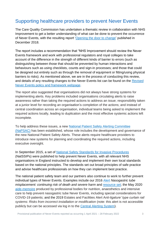### <span id="page-3-0"></span>Supporting healthcare providers to prevent Never Events

The Care Quality Commission has undertaken a thematic review in collaboration with NHS Improvement to get a better understanding of what can be done to prevent the occurrence of Never Events, with the resulting report ['Opening the door to change'](https://www.cqc.org.uk/publications/themed-work/opening-door-change) published in December 2018.

The report includes a recommendation that "NHS Improvement should review the Never Events framework and work with professional regulators and royal colleges to take account of the difference in the strength of different kinds of barrier to errors (such as distinguishing between those that should be prevented by human interactions and behaviours such as using checklists, counts and sign-in processes; and those that could be designed out entirely such as through the removal of equipment or fitting/using physical barriers to risks). As mentioned above, we are in the process of conducting this review, and details of any resulting changes to the Never Events list can be found on the Revised [Never Events policy and framework webpage.](https://www.england.nhs.uk/patient-safety/revised-never-events-policy-and-framework/)

The report also suggested that organisations did not always have strong systems for implementing alerts. Key problems included organisations circulating alerts to raise awareness rather than taking the required actions to address an issue; responsibility taken at a junior level for recording an organisation's completion of the actions; and instead of central coordination across an organisation, individual teams being asked to implement the required actions locally, leading to duplication and the most effective systemic actions left incomplete.

To help address these issues, a new [National Patient Safety Alerting Committee](https://www.england.nhs.uk/patient-safety/national-patient-safety-alerting-committee/)  [\(NaPSAC\)](https://www.england.nhs.uk/patient-safety/national-patient-safety-alerting-committee/) has been established, whose role includes the development and governance of the new National Patient Safety Alerts. These alerts require healthcare providers to introduce new systems for planning and coordinating the required actions, including executive oversight.

In September 2015, a set of [National Safety Standards for Invasive Procedures](https://webarchive.nationalarchives.gov.uk/20190501131135/https:/improvement.nhs.uk/resources/national-safety-standards-invasive-procedures/) (NatSSIPs) were published to help prevent Never Events, with all relevant NHS organisations in England instructed to develop and implement their own local standards based on the national principles. The standards set out broad principles of safe practice and advise healthcare professionals on how they can implement best practice.

The national patient safety team and our partners also continue to work to further prevent individual types of Never Events. Examples include our 2016 [Alert](https://www.england.nhs.uk/publication/patient-safety-alert-nasogastric-tube-misplacement-continuing-risk-of-death-and-severe-harm/) *Nasogastric tube misplacement: continuing risk of death and severe harm* and [resource set;](https://webarchive.nationalarchives.gov.uk/20190501131117/https:/improvement.nhs.uk/resources/resource-set-initial-placement-checks-nasogastric-and-orogastric-tubes/) the May 2020 [aide-memoire](https://www.bapen.org.uk/pdfs/covid-19/aide-memoire-ngt-placement-13-05-20.pdf) produced by professional bodies for nutrition, anaesthetics and intensive care to help prevent nasogastric tube Never Events, including special considerations for COVID-19 patients; and the 2019 Estates and Facilities Alert A*nti-ligature' type curtain rail systems: Risks from incorrect installation or modification* (note: this alert is not accessible publicly but can be accessed via log in to the [Central Alerting System\)](https://www.cas.mhra.gov.uk/Home.aspx).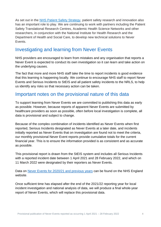As set out in the [NHS Patient Safety Strategy,](https://www.england.nhs.uk/patient-safety/the-nhs-patient-safety-strategy/) patient safety research and innovation also has an important role to play. We are continuing to work with partners including the Patient Safety Translational Research Centres, Academic Health Science Networks and other researchers, in conjunction with the National Institute for Health Research and the Department of Health and Social Care, to develop new technical solutions to Never Events.

### <span id="page-4-0"></span>Investigating and learning from Never Events

NHS providers are encouraged to learn from mistakes and any organisation that reports a Never Event is expected to conduct its own investigation so it can learn and take action on the underlying causes.

The fact that more and more NHS staff take the time to report incidents is good evidence that this learning is happening locally. We continue to encourage NHS staff to report Never Events and Serious Incidents to StEIS and all patient safety incidents to the NRLS, to help us identify any risks so that necessary action can be taken.

### <span id="page-4-1"></span>Important notes on the provisional nature of this data

To support learning from Never Events we are committed to publishing this data as early as possible. However, because reports of apparent Never Events are submitted by healthcare providers as soon as possible, often before local investigation is complete, all data is provisional and subject to change.

Because of the complex combination of incidents identified as Never Events when first reported, Serious Incidents designated as Never Events at a later date, and incidents initially reported as Never Events that on investigation are found not to meet the criteria, our monthly provisional Never Event reports provide cumulative totals for the current financial year. This is to ensure the information provided is as consistent and as accurate as possible.

This provisional report is drawn from the StEIS system and includes all Serious Incidents with a reported incident date between 1 April 2021 and 28 February 2022, and which on 11 March 2022 were designated by their reporters as Never Events.

Data on [Never Events for 2020/21](https://www.england.nhs.uk/patient-safety/never-events-data/) and previous years can be found on the NHS England website.

Once sufficient time has elapsed after the end of the 2021/22 reporting year for local incident investigation and national analysis of data, we will produce a final whole-year report of Never Events, which will replace this provisional data.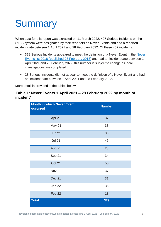# <span id="page-5-0"></span>**Summary**

When data for this report was extracted on 11 March 2022, 407 Serious Incidents on the StEIS system were designated by their reporters as Never Events and had a reported incident date between 1 April 2021 and 28 February 2022. Of these 407 incidents:

- 379 Serious Incidents appeared to meet the definition of a [Never](https://www.england.nhs.uk/patient-safety/revised-never-events-policy-and-framework/) Event in the Never [Events list 2018 \(published 28 February](https://www.england.nhs.uk/patient-safety/revised-never-events-policy-and-framework/) 2018) and had an incident date between 1 April 2021 and 28 February 2022; this number is subject to change as local investigations are completed
- 28 Serious Incidents did not appear to meet the definition of a Never Event and had an incident date between 1 April 2021 and 28 February 2022.

More detail is provided in the tables below:

#### **Table 1: Never Events 1 April 2021 – 28 February 2022 by month of incident\***

| <b>Month in which Never Event</b><br>occurred | <b>Number</b> |
|-----------------------------------------------|---------------|
| Apr 21                                        | 37            |
| May 21                                        | 33            |
| <b>Jun 21</b>                                 | 30            |
| <b>Jul 21</b>                                 | 46            |
| Aug 21                                        | 28            |
| Sep 21                                        | 34            |
| Oct 21                                        | 50            |
| <b>Nov 21</b>                                 | 37            |
| Dec 21                                        | 31            |
| <b>Jan 22</b>                                 | 35            |
| Feb 22                                        | 18            |
| <b>Total</b>                                  | 379           |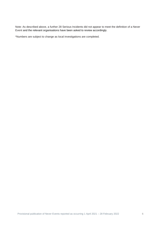Note: As described above, a further 28 Serious Incidents did not appear to meet the definition of a Never Event and the relevant organisations have been asked to review accordingly.

\*Numbers are subject to change as local investigations are completed.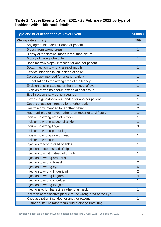#### **Table 2: Never Events 1 April 2021 - 28 February 2022 by type of incident with additional detail\***

| <b>Type and brief description of Never Event</b>             | <b>Number</b>  |
|--------------------------------------------------------------|----------------|
| <b>Wrong site surgery</b>                                    | 159            |
| Angiogram intended for another patient                       | 1              |
| Biopsy from wrong breast                                     | $\overline{1}$ |
| Biopsy of mediastinal mass rather than pleura                | 1              |
| Biopsy of wrong lobe of lung                                 | $\overline{1}$ |
| Bone marrow biopsy intended for another patient              | 1              |
| Botox injection to wrong area of mouth                       | $\overline{1}$ |
| Cervical biopsies taken instead of colon                     | 1              |
| Colposcopy intended for another patient                      | 1              |
| Embolisation to the wrong area of the kidney                 | 1              |
| Excision of skin tags rather than removal of cyst            | $\overline{1}$ |
| Excision of vaginal tissue instead of anal tissue            | 1              |
| Eye injection that was not required                          | 1              |
| Flexible sigmoidoscopy intended for another patient          | 1              |
| Gastric dilatation intended for another patient              | $\overline{1}$ |
| Gastroscopy intended for another patient                     | $\overline{2}$ |
| Haemorrhoids removed rather than repair of anal fistula      | $\overline{1}$ |
| Incision to wrong area of buttock                            | 1              |
| Incision to wrong aspect of ankle                            | $\overline{1}$ |
| Incision to wrong finger                                     | 3              |
| Incision to wrong part of leg                                | 1              |
| Incision to wrong side of head                               | 1              |
| Incision to wrong toe                                        | $\overline{1}$ |
| Injection to foot instead of ankle                           | 1              |
| Injection to foot instead of hip                             | 1              |
| Injection to wrist instead of thumb                          | 1              |
| Injection to wrong area of hip                               | $\overline{1}$ |
| Injection to wrong breast                                    | $\overline{2}$ |
| Injection to wrong eye                                       | $6\phantom{1}$ |
| Injection to wrong finger joint                              | $\overline{2}$ |
| Injection to wrong finger/s                                  | $\overline{4}$ |
| Injection to wrong shoulder                                  | 1              |
| Injection to wrong toe joint                                 | $\overline{1}$ |
| Injections to lumbar spine rather than neck                  | 1              |
| Insertion of radioactive plaque to the wrong area of the eye | $\mathbf{1}$   |
| Knee aspiration intended for another patient                 | 1              |
| Lumbar puncture rather than fluid drainage from lung         | $\overline{1}$ |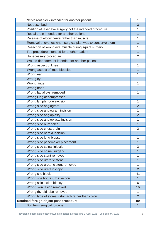| Nerve root block intended for another patient              | 1              |
|------------------------------------------------------------|----------------|
| Not described                                              | 3              |
| Position of laser eye surgery not the intended procedure   | 1              |
| Rectal drain intended for another patient                  | $\overline{1}$ |
| Release of elbow nerve rather than muscle                  | 1              |
| Removal of ovaries when surgical plan was to conserve them | $\overline{1}$ |
| Resection of wrong eye muscle during squint surgery        | 1              |
| Toe procedure intended for another patient                 | 1              |
| Unnecessary procedure                                      | $\overline{2}$ |
| Wound debridement intended for another patient             | $\overline{1}$ |
| Wrong aspect of knee                                       | 1              |
| Wrong aspect of knee biopsied                              | 1              |
| Wrong ear                                                  | 1              |
| Wrong eye                                                  | 1              |
| Wrong finger                                               | 1              |
| Wrong hand                                                 | $\overline{1}$ |
| Wrong labial cyst removed                                  | 1              |
| Wrong lung decompressed                                    | 1              |
| Wrong lymph node excision                                  | 1              |
| Wrong side angiogram                                       | $\overline{2}$ |
| Wrong side angiogram incision                              | 1              |
| Wrong side angioplasty                                     | $\overline{2}$ |
| Wrong side angioplasty incision                            | 1              |
| Wrong side burr holes                                      | 1              |
| Wrong side chest drain                                     | $\overline{2}$ |
| Wrong side hernia incision                                 | 1              |
| Wrong side lung biopsy                                     | 1              |
| Wrong side pacemaker placement                             | $\overline{1}$ |
| Wrong side spinal injection                                | 3              |
| Wrong side spinal surgery                                  | 1              |
| Wrong side stent removed                                   | 1              |
| Wrong side ureteric stent                                  | $\overline{1}$ |
| Wrong side ureteric stent removed                          | 1              |
| Wrong side ureteroscopy                                    | $\overline{2}$ |
| Wrong site block                                           | 41             |
| Wrong site botulinum injection                             | 1              |
| Wrong skin lesion biopsy                                   | 6              |
| Wrong skin lesion removed                                  | 16             |
| Wrong thyroid lobe removed                                 | 1              |
| Wrong type of stoma - stomach rather than colon            | $\overline{2}$ |
| Retained foreign object post procedure                     | 90             |
| Bolt from surgical forceps                                 | $\overline{1}$ |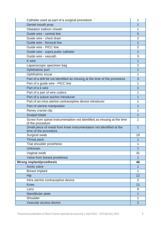| Catheter used as part of a surgical procedure                                                 | 1              |
|-----------------------------------------------------------------------------------------------|----------------|
| Dental mouth prop                                                                             | $\overline{1}$ |
| <b>Dilatation balloon sheath</b>                                                              | 1              |
| Guide wire - central line                                                                     | 5              |
| Guide wire - chest drain                                                                      | $\overline{2}$ |
| Guide wire - femoral line                                                                     | 1              |
| Guide wire - PICC line                                                                        | $\overline{2}$ |
| Guide wire - supra pubic catheter                                                             | $\overline{1}$ |
| Guide wire - vascath                                                                          | 3              |
| <b>K</b> wire                                                                                 | $\overline{1}$ |
| Laparoscopic specimen bag                                                                     | 2              |
| Ophthalmic port                                                                               | 1              |
| Ophthalmic trocar                                                                             | 1              |
| Part of a drill bit not identified as missing at the time of the procedure                    | 3              |
| Part of a guide wire - PICC line                                                              | 1              |
| Part of a k wire                                                                              | 1              |
| Part of a pair of wire cutters                                                                | 1              |
| Part of a suture anchor introducer                                                            | 1              |
| Part of an intra uterine contraceptive device introducer                                      | 1              |
| Part of uterine manipulator                                                                   | 1              |
| Raney cranial clip                                                                            | 1              |
| <b>Scalpel blade</b>                                                                          | 1              |
| Screw from spinal instrumentation not identified as missing at the time<br>of the procedure   | 1              |
| Small piece of metal from knee instrumentation not identified at the<br>time of the procedure | 1              |
| Surgical swab                                                                                 | 19             |
| <b>Throat pack</b>                                                                            | 1              |
| Trial shoulder prosthesis                                                                     | 1              |
| <b>Unknown</b>                                                                                | $\overline{1}$ |
| Vaginal swab                                                                                  | 31             |
| Valve from breast prosthesis                                                                  | 1              |
| <b>Wrong implant/prosthesis</b>                                                               | 46             |
| Aortic valve                                                                                  | $\overline{1}$ |
| <b>Breast implant</b>                                                                         | 1              |
| Hip                                                                                           | 12             |
| Intra uterine contraceptive device                                                            | $\overline{2}$ |
| <b>Knee</b>                                                                                   | 11             |
| Lens                                                                                          | 9              |
| Mandibular plate                                                                              | $\overline{1}$ |
| Shoulder                                                                                      | 1              |
| Vascular access device                                                                        | $\overline{2}$ |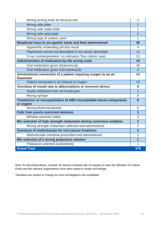| Wrong locking bolts for femoral nail                                             | 1                       |
|----------------------------------------------------------------------------------|-------------------------|
| Wrong side plate                                                                 | $\overline{1}$          |
| Wrong side radial plate                                                          | 1                       |
| Wrong side wrist plate                                                           | $\overline{2}$          |
| Wrong type of ureteric stent                                                     | 1                       |
| Misplaced naso or oro gastric tubes and feed administered                        | 29                      |
| Apparently misleading pH test result                                             | $\overline{4}$          |
| Placement checks not described or not clearly described                          | 12                      |
| X-ray misinterpretation: no indication 'four criteria' used                      | 13                      |
| Administration of medication by the wrong route                                  | 19                      |
| Oral medication given intravenously                                              | 16                      |
| Oral medication given subcutaneously                                             | 3                       |
| Unintentional connection of a patient requiring oxygen to an air<br>flowmeter    | 13                      |
| Patient connected to air instead of oxygen                                       | 13                      |
| Overdose of insulin due to abbreviations or incorrect device                     | 9                       |
| Insulin withdrawn from an insulin pen                                            | $\overline{1}$          |
| Wrong syringe                                                                    | 8                       |
| Transfusion or transplantation of ABO incompatible blood components<br>or organs | $6\phantom{1}6$         |
| Wrong blood transfused                                                           | 6                       |
| <b>Falls from poorly restricted windows</b>                                      | $\overline{\mathbf{3}}$ |
| Window restrictor failed                                                         | 3                       |
| Mis selection of high strength midazolam during conscious sedation               | $\overline{2}$          |
| Wrong strength midazolam selected and administered                               | $\overline{2}$          |
| Overdose of methotrexate for non-cancer treatment                                | $\overline{2}$          |
| Methotrexate overdose prescribed and administered                                | $\overline{2}$          |
| Mis selection of a strong potassium solution                                     | $\overline{1}$          |
| Potassium selected inadvertently                                                 | 1                       |
| <b>Grand Total</b>                                                               | 379                     |

Note: As described above, a further 28 Serious Incidents did not appear to meet the definition of a Never Event and the relevant organisations have been asked to review accordingly.

\*Numbers are subject to change as local investigations are completed.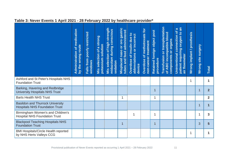|                                                                                  | medication<br>by the wrong route<br>৳<br>Administration | poorly restricted<br>Falls from<br>windows | Mis selection of a strong<br>potassium solution | strength<br>midazolam during conscious<br><b>Mis selection of high</b><br>sedation | gastric<br>feed administered<br>Misplaced naso or oro<br>tubes and | of insulin due to<br>abbreviations or incorrect<br><b>Overdose</b><br>device | for<br>methotrexate<br>non-cancer treatment<br>$\overline{\sigma}$<br>Overdose | Retained foreign object post<br>procedure | Transfusion or transplantation<br>of ABO incompatible blood<br>components or organs | an<br>$\boldsymbol{\omega}$<br>৳<br>oxygen to<br><b>Unintentional connection</b><br>patient requiring<br>air flowmeter | Wrong implant / prosthesis | Surgery<br>site<br>Wrong: | Total          |
|----------------------------------------------------------------------------------|---------------------------------------------------------|--------------------------------------------|-------------------------------------------------|------------------------------------------------------------------------------------|--------------------------------------------------------------------|------------------------------------------------------------------------------|--------------------------------------------------------------------------------|-------------------------------------------|-------------------------------------------------------------------------------------|------------------------------------------------------------------------------------------------------------------------|----------------------------|---------------------------|----------------|
| Ashford and St Peter's Hospitals NHS<br><b>Foundation Trust</b>                  |                                                         |                                            |                                                 |                                                                                    |                                                                    |                                                                              |                                                                                |                                           |                                                                                     |                                                                                                                        | 1                          |                           | 1              |
| Barking, Havering and Redbridge<br><b>University Hospitals NHS Trust</b>         |                                                         |                                            |                                                 |                                                                                    |                                                                    |                                                                              |                                                                                | 1                                         |                                                                                     |                                                                                                                        |                            | 1                         | $\overline{2}$ |
| <b>Barts Health NHS Trust</b>                                                    |                                                         |                                            |                                                 |                                                                                    | 1                                                                  |                                                                              |                                                                                | 1                                         |                                                                                     |                                                                                                                        |                            |                           | $\overline{2}$ |
| <b>Basildon and Thurrock University</b><br><b>Hospitals NHS Foundation Trust</b> |                                                         |                                            |                                                 |                                                                                    |                                                                    |                                                                              |                                                                                |                                           |                                                                                     |                                                                                                                        |                            | 1                         | 1              |
| Birmingham Women's and Children's<br><b>Hospital NHS Foundation Trust</b>        |                                                         |                                            |                                                 |                                                                                    |                                                                    | 1                                                                            |                                                                                |                                           |                                                                                     |                                                                                                                        |                            | 1                         | 3              |
| <b>Blackpool Teaching Hospitals NHS</b><br><b>Foundation Trust</b>               |                                                         |                                            |                                                 |                                                                                    | 1                                                                  |                                                                              |                                                                                | 1                                         |                                                                                     |                                                                                                                        |                            | 3                         | 5              |
| <b>BMI Hospitals/Circle Health reported</b><br>by NHS Herts Valleys CCG          |                                                         |                                            |                                                 |                                                                                    |                                                                    |                                                                              |                                                                                |                                           |                                                                                     |                                                                                                                        | 1                          |                           | 1              |

### **Table 3: Never Events 1 April 2021 - 28 February 2022 by healthcare provider\***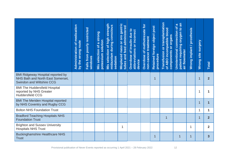|                                                                                                                   | medication<br>by the wrong route<br>$\overline{\sigma}$<br>Administration | Falls from poorly restricted<br>windows | a strong<br>potassium solution<br>Mis selection of | of high strength<br>midazolam during conscious<br><b>Mis selection</b><br>sedation | Misplaced naso or oro gastric<br>tubes and feed administered | Overdose of insulin due to<br>abbreviations or incorrect<br>device | Overdose of methotrexate for<br>non-cancer treatment | Retained foreign object post<br>procedure | Transfusion or transplantation<br>of ABO incompatible blood<br>components or organs | patient requiring oxygen to an<br>$\boldsymbol{\omega}$<br>$\overline{\sigma}$<br>Unintentional connection<br>air flowmeter | Wrong implant / prosthesis | Wrong site surgery | <b>Total</b>   |
|-------------------------------------------------------------------------------------------------------------------|---------------------------------------------------------------------------|-----------------------------------------|----------------------------------------------------|------------------------------------------------------------------------------------|--------------------------------------------------------------|--------------------------------------------------------------------|------------------------------------------------------|-------------------------------------------|-------------------------------------------------------------------------------------|-----------------------------------------------------------------------------------------------------------------------------|----------------------------|--------------------|----------------|
| <b>BMI Ridgeway Hospital reported by</b><br>NHS Bath and North East Somerset,<br><b>Swindon and Wiltshire CCG</b> |                                                                           |                                         |                                                    |                                                                                    |                                                              |                                                                    |                                                      | 1                                         |                                                                                     |                                                                                                                             |                            | 1                  | 2 <sup>2</sup> |
| <b>BMI The Huddersfield Hospital</b><br>reported by NHS Greater<br><b>Huddersfield CCG</b>                        |                                                                           |                                         |                                                    |                                                                                    |                                                              |                                                                    |                                                      |                                           |                                                                                     |                                                                                                                             |                            | 1                  | 1              |
| <b>BMI The Meriden Hospital reported</b><br>by NHS Coventry and Rugby CCG                                         |                                                                           |                                         |                                                    |                                                                                    |                                                              |                                                                    |                                                      |                                           |                                                                                     |                                                                                                                             |                            | $\overline{1}$     | $\overline{1}$ |
| <b>Bolton NHS Foundation Trust</b>                                                                                |                                                                           |                                         |                                                    |                                                                                    |                                                              |                                                                    |                                                      |                                           |                                                                                     |                                                                                                                             |                            | 1                  | 1              |
| <b>Bradford Teaching Hospitals NHS</b><br><b>Foundation Trust</b>                                                 |                                                                           |                                         |                                                    |                                                                                    |                                                              |                                                                    |                                                      |                                           | 1                                                                                   |                                                                                                                             |                            | 1                  | $\overline{2}$ |
| <b>Brighton and Sussex University</b><br><b>Hospitals NHS Trust</b>                                               |                                                                           |                                         |                                                    |                                                                                    |                                                              |                                                                    |                                                      |                                           |                                                                                     |                                                                                                                             | 1                          |                    | $\overline{2}$ |
| <b>Buckinghamshire Healthcare NHS</b><br><b>Trust</b>                                                             |                                                                           |                                         |                                                    |                                                                                    |                                                              |                                                                    |                                                      | 1                                         |                                                                                     | 1                                                                                                                           | $\mathbf 1$                |                    | $\mathbf{3}$   |
| Provisional publication of Never Events reported as occurring 1 April 2021 - 28 February 2022                     |                                                                           |                                         |                                                    |                                                                                    |                                                              |                                                                    |                                                      |                                           |                                                                                     | 12                                                                                                                          |                            |                    |                |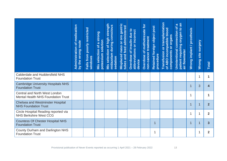|                                                                                               | medication<br>by the wrong route<br>$\overline{\sigma}$<br>Administration | poorly restricted<br>Falls from<br>windows | Mis selection of a strong<br>potassium solution | strength<br>Mis selection of high strength<br>midazolam during conscious<br><b>Mis selection</b><br>sedation | Misplaced naso or oro gastric<br>tubes and feed administered | Overdose of insulin due to<br>abbreviations or incorrect<br>device | Overdose of methotrexate for<br>non-cancer treatment | Retained foreign object post<br>procedure | Transfusion or transplantation<br>of ABO incompatible blood<br>components or organs | patient requiring oxygen to an<br>$\pmb{\varpi}$<br>$\delta$<br>Unintentional connection<br>air flowmeter | Wrong implant / prosthesis | site surgery<br><b>Wrong</b> | <b>Total</b>            |
|-----------------------------------------------------------------------------------------------|---------------------------------------------------------------------------|--------------------------------------------|-------------------------------------------------|--------------------------------------------------------------------------------------------------------------|--------------------------------------------------------------|--------------------------------------------------------------------|------------------------------------------------------|-------------------------------------------|-------------------------------------------------------------------------------------|-----------------------------------------------------------------------------------------------------------|----------------------------|------------------------------|-------------------------|
| Calderdale and Huddersfield NHS<br><b>Foundation Trust</b>                                    |                                                                           |                                            |                                                 |                                                                                                              |                                                              |                                                                    |                                                      |                                           |                                                                                     |                                                                                                           |                            | 1                            | $\mathbf{1}$            |
| <b>Cambridge University Hospitals NHS</b><br><b>Foundation Trust</b>                          |                                                                           |                                            |                                                 |                                                                                                              |                                                              |                                                                    |                                                      |                                           |                                                                                     |                                                                                                           | $\mathbf{1}$               | 3                            | $\overline{\mathbf{4}}$ |
| <b>Central and North West London</b><br>Mental Health NHS Foundation Trust                    |                                                                           |                                            |                                                 |                                                                                                              |                                                              |                                                                    |                                                      |                                           |                                                                                     |                                                                                                           | 1                          |                              | 1                       |
| <b>Chelsea and Westminster Hospital</b><br><b>NHS Foundation Trust</b>                        |                                                                           |                                            |                                                 |                                                                                                              |                                                              |                                                                    |                                                      |                                           |                                                                                     |                                                                                                           | $\mathbf 1$                | 1                            | 2 <sup>2</sup>          |
| Circle Hospital Reading reported via<br><b>NHS Berkshire West CCG</b>                         |                                                                           |                                            |                                                 |                                                                                                              |                                                              |                                                                    |                                                      |                                           |                                                                                     |                                                                                                           | 1                          | 1                            | $\overline{2}$          |
| <b>Countess Of Chester Hospital NHS</b><br><b>Foundation Trust</b>                            |                                                                           |                                            |                                                 |                                                                                                              |                                                              |                                                                    |                                                      | $\overline{1}$                            |                                                                                     |                                                                                                           | $\overline{1}$             | 1                            | $\overline{3}$          |
| County Durham and Darlington NHS<br><b>Foundation Trust</b>                                   |                                                                           |                                            |                                                 |                                                                                                              |                                                              |                                                                    |                                                      | 1                                         |                                                                                     |                                                                                                           |                            | 1                            | $\overline{2}$          |
| Provisional publication of Never Events reported as occurring 1 April 2021 - 28 February 2022 |                                                                           |                                            |                                                 |                                                                                                              |                                                              |                                                                    |                                                      |                                           |                                                                                     | 13                                                                                                        |                            |                              |                         |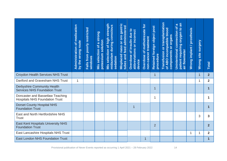|                                                                                               | medication<br>by the wrong route<br>$\overline{\sigma}$<br>Administration | poorly restricted<br>Falls from<br>windows | Mis selection of a strong<br>potassium solution | strength<br>midazolam during conscious<br>of high<br>selection<br>sedation<br>Mis | Misplaced naso or oro gastric<br>tubes and feed administered | Overdose of insulin due to<br>abbreviations or incorrect<br>device | Overdose of methotrexate for<br>non-cancer treatment | Retained foreign object post<br>procedure | Transfusion or transplantation<br>of ABO incompatible blood<br>components or organs | patient requiring oxygen to an<br>$\boldsymbol{\omega}$<br>৳<br>Unintentional connection<br>air flowmeter | Wrong implant / prosthesis | site surgery<br><b>Wrong</b> | <b>Total</b>         |
|-----------------------------------------------------------------------------------------------|---------------------------------------------------------------------------|--------------------------------------------|-------------------------------------------------|-----------------------------------------------------------------------------------|--------------------------------------------------------------|--------------------------------------------------------------------|------------------------------------------------------|-------------------------------------------|-------------------------------------------------------------------------------------|-----------------------------------------------------------------------------------------------------------|----------------------------|------------------------------|----------------------|
| <b>Croydon Health Services NHS Trust</b>                                                      |                                                                           |                                            |                                                 |                                                                                   |                                                              |                                                                    |                                                      | $\mathbf{1}$                              |                                                                                     |                                                                                                           |                            | $\mathbf 1$                  | 2 <sup>2</sup>       |
| Dartford and Gravesham NHS Trust                                                              | $\mathbf 1$                                                               |                                            |                                                 |                                                                                   |                                                              |                                                                    |                                                      |                                           |                                                                                     |                                                                                                           |                            | 1                            | $\overline{2}$       |
| <b>Derbyshire Community Health</b><br><b>Services NHS Foundation Trust</b>                    |                                                                           |                                            |                                                 |                                                                                   |                                                              |                                                                    |                                                      | $\mathbf 1$                               |                                                                                     |                                                                                                           |                            |                              | $\mathbf{1}$         |
| Doncaster and Bassetlaw Teaching<br><b>Hospitals NHS Foundation Trust</b>                     |                                                                           |                                            |                                                 |                                                                                   |                                                              |                                                                    |                                                      | 1                                         |                                                                                     |                                                                                                           |                            |                              | 1                    |
| <b>Dorset County Hospital NHS</b><br><b>Foundation Trust</b>                                  |                                                                           |                                            |                                                 |                                                                                   |                                                              | $\mathbf 1$                                                        |                                                      |                                           |                                                                                     |                                                                                                           |                            |                              | $\blacktriangleleft$ |
| East and North Hertfordshire NHS<br><b>Trust</b>                                              |                                                                           |                                            |                                                 |                                                                                   |                                                              |                                                                    |                                                      |                                           |                                                                                     |                                                                                                           |                            | 3                            | 3                    |
| <b>East Kent Hospitals University NHS</b><br><b>Foundation Trust</b>                          |                                                                           |                                            |                                                 |                                                                                   |                                                              |                                                                    |                                                      | $\overline{2}$                            |                                                                                     |                                                                                                           |                            |                              | $\overline{2}$       |
| East Lancashire Hospitals NHS Trust                                                           |                                                                           |                                            |                                                 |                                                                                   |                                                              |                                                                    |                                                      |                                           |                                                                                     |                                                                                                           | $\mathbf{1}$               | 1                            | $\overline{2}$       |
| <b>East London NHS Foundation Trust</b>                                                       |                                                                           |                                            |                                                 |                                                                                   |                                                              |                                                                    | $\mathbf{1}$                                         |                                           |                                                                                     |                                                                                                           |                            |                              | $\mathbf{1}$         |
| Provisional publication of Never Events reported as occurring 1 April 2021 - 28 February 2022 |                                                                           |                                            |                                                 |                                                                                   |                                                              |                                                                    |                                                      |                                           |                                                                                     | 14                                                                                                        |                            |                              |                      |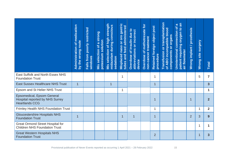|                                                                                                      | medication<br>by the wrong route<br>$\overline{\sigma}$<br>Administration | poorly restricted<br>Falls from<br>windows | Mis selection of a strong<br>potassium solution | strength<br>midazolam during conscious<br>of high<br><b>Mis selection</b><br>sedation | naso or oro gastric<br>tubes and feed administered<br>Misplaced | Overdose of insulin due to<br>abbreviations or incorrect<br>device | Overdose of methotrexate for<br>non-cancer treatment | Retained foreign object post<br>procedure | Transfusion or transplantation<br>of ABO incompatible blood<br>components or organs | patient requiring oxygen to an<br>$\boldsymbol{\sigma}$<br>$\overline{\sigma}$<br>connection<br><b>Unintentional</b><br>air flowmeter | Wrong implant / prosthesis | site surgery<br><b>Wrong</b> | <b>Total</b>   |
|------------------------------------------------------------------------------------------------------|---------------------------------------------------------------------------|--------------------------------------------|-------------------------------------------------|---------------------------------------------------------------------------------------|-----------------------------------------------------------------|--------------------------------------------------------------------|------------------------------------------------------|-------------------------------------------|-------------------------------------------------------------------------------------|---------------------------------------------------------------------------------------------------------------------------------------|----------------------------|------------------------------|----------------|
| East Suffolk and North Essex NHS<br><b>Foundation Trust</b>                                          |                                                                           |                                            |                                                 |                                                                                       | 1                                                               |                                                                    |                                                      | 1                                         |                                                                                     |                                                                                                                                       |                            | 5                            | $\overline{7}$ |
| <b>East Sussex Healthcare NHS Trust</b>                                                              | $\overline{1}$                                                            |                                            |                                                 | 1                                                                                     |                                                                 |                                                                    |                                                      | $\overline{1}$                            |                                                                                     |                                                                                                                                       |                            |                              | 3 <sup>5</sup> |
| Epsom and St Helier NHS Trust                                                                        |                                                                           |                                            |                                                 |                                                                                       | 1                                                               |                                                                    |                                                      |                                           |                                                                                     |                                                                                                                                       |                            |                              | $\mathbf 1$    |
| <b>Epsomedical, Epsom General</b><br><b>Hospital reported by NHS Surrey</b><br><b>Heartlands CCG</b> |                                                                           |                                            |                                                 |                                                                                       |                                                                 |                                                                    |                                                      | 1                                         |                                                                                     |                                                                                                                                       | 1                          |                              | $\overline{2}$ |
| <b>Frimley Health NHS Foundation Trust</b>                                                           |                                                                           |                                            |                                                 |                                                                                       |                                                                 |                                                                    |                                                      | 1                                         |                                                                                     |                                                                                                                                       |                            | $\mathbf{1}$                 | $\overline{2}$ |
| <b>Gloucestershire Hospitals NHS</b><br><b>Foundation Trust</b>                                      | $\overline{1}$                                                            |                                            |                                                 |                                                                                       | 1                                                               | $\overline{1}$                                                     |                                                      | $\overline{1}$                            |                                                                                     |                                                                                                                                       | $\overline{2}$             | 3                            | 9              |
| <b>Great Ormond Street Hospital for</b><br><b>Children NHS Foundation Trust</b>                      |                                                                           |                                            |                                                 |                                                                                       |                                                                 |                                                                    |                                                      |                                           |                                                                                     |                                                                                                                                       |                            | 1                            | 1              |
| <b>Great Western Hospitals NHS</b><br><b>Foundation Trust</b>                                        |                                                                           |                                            |                                                 |                                                                                       |                                                                 |                                                                    |                                                      | 2                                         |                                                                                     |                                                                                                                                       |                            | 1                            | $\overline{3}$ |
| Provisional publication of Never Events reported as occurring 1 April 2021 - 28 February 2022        |                                                                           |                                            |                                                 |                                                                                       |                                                                 |                                                                    |                                                      |                                           |                                                                                     | 15                                                                                                                                    |                            |                              |                |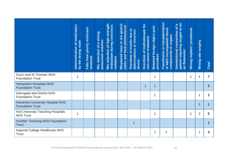|                                                                                               | of medication<br>by the wrong route<br>Administration | poorly restricted<br>Falls from<br>windows | Mis selection of a strong<br>potassium solution | strength<br>midazolam during conscious<br><b>Mis selection of high</b><br>sedation | naso or oro gastric<br><b>Misplaced naso or oro gastring</b> | Overdose of insulin due to<br>abbreviations or incorrect<br>device | Overdose of methotrexate for<br>non-cancer treatment | Retained foreign object post<br>procedure | Transfusion or transplantation<br>of ABO incompatible blood<br>components or organs | patient requiring oxygen to an<br>$\boldsymbol{\sigma}$<br>াত $\overline{a}$<br>Unintentional connection<br>air flowmeter | Wrong implant / prosthesis | site surgery<br>Wrong | <b>Total</b>            |
|-----------------------------------------------------------------------------------------------|-------------------------------------------------------|--------------------------------------------|-------------------------------------------------|------------------------------------------------------------------------------------|--------------------------------------------------------------|--------------------------------------------------------------------|------------------------------------------------------|-------------------------------------------|-------------------------------------------------------------------------------------|---------------------------------------------------------------------------------------------------------------------------|----------------------------|-----------------------|-------------------------|
| Guy's and St Thomas' NHS<br><b>Foundation Trust</b>                                           | $\mathbf 1$                                           |                                            |                                                 |                                                                                    |                                                              |                                                                    |                                                      | 1                                         |                                                                                     |                                                                                                                           | $\mathbf 1$                | 4                     | $\overline{7}$          |
| <b>Hampshire Hospitals NHS</b><br><b>Foundation Trust</b>                                     |                                                       |                                            |                                                 |                                                                                    |                                                              |                                                                    | $\mathbf 1$                                          | $\mathbf{1}$                              |                                                                                     |                                                                                                                           |                            |                       | $\overline{2}$          |
| <b>Harrogate and District NHS</b><br><b>Foundation Trust</b>                                  |                                                       |                                            |                                                 |                                                                                    |                                                              |                                                                    |                                                      | 1                                         |                                                                                     |                                                                                                                           |                            | 1                     | $\overline{2}$          |
| <b>Homerton University Hospital NHS</b><br><b>Foundation Trust</b>                            |                                                       |                                            |                                                 |                                                                                    |                                                              |                                                                    |                                                      |                                           |                                                                                     |                                                                                                                           |                            | 1                     | $\overline{\mathbf{1}}$ |
| <b>Hull University Teaching Hospitals</b><br><b>NHS Trust</b>                                 | $\mathbf{1}$                                          |                                            |                                                 |                                                                                    |                                                              |                                                                    |                                                      | $\mathbf{1}$                              |                                                                                     |                                                                                                                           | $\mathbf{1}$               | $\overline{2}$        | 5                       |
| <b>Humber Teaching NHS Foundation</b><br><b>Trust</b>                                         |                                                       |                                            |                                                 |                                                                                    |                                                              | $\overline{\mathbf{1}}$                                            |                                                      |                                           |                                                                                     |                                                                                                                           |                            |                       | 1                       |
| <b>Imperial College Healthcare NHS</b><br><b>Trust</b>                                        |                                                       |                                            |                                                 |                                                                                    |                                                              |                                                                    |                                                      | 1                                         | $\overline{2}$                                                                      |                                                                                                                           |                            | 1                     | 4                       |
| Provisional publication of Never Events reported as occurring 1 April 2021 - 28 February 2022 |                                                       |                                            |                                                 |                                                                                    |                                                              |                                                                    |                                                      |                                           |                                                                                     | 16                                                                                                                        |                            |                       |                         |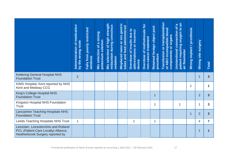|                                                                                                                   | of medication<br>by the wrong route<br>Administration | poorly restricted<br>Falls from<br>windows | Mis selection of a strong<br>potassium solution | strength<br>midazolam during conscious<br>of high<br>selection<br>sedation<br>Mis | gastric<br>tubes and feed administered<br>naso or oro<br>Misplaced | Overdose of insulin due to<br>abbreviations or incorrect<br>device | Overdose of methotrexate for<br>non-cancer treatment | Retained foreign object post<br>procedure | or transplantation<br>of ABO incompatible blood<br>components or organs<br>Transfusion | patient requiring oxygen to an<br>$\boldsymbol{\omega}$<br>৳<br>Unintentional connection<br>air flowmeter | Wrong implant / prosthesis | site surgery<br><b>Wrong</b> | <b>Total</b>            |
|-------------------------------------------------------------------------------------------------------------------|-------------------------------------------------------|--------------------------------------------|-------------------------------------------------|-----------------------------------------------------------------------------------|--------------------------------------------------------------------|--------------------------------------------------------------------|------------------------------------------------------|-------------------------------------------|----------------------------------------------------------------------------------------|-----------------------------------------------------------------------------------------------------------|----------------------------|------------------------------|-------------------------|
| <b>Kettering General Hospital NHS</b><br><b>Foundation Trust</b>                                                  | $\overline{2}$                                        |                                            |                                                 |                                                                                   |                                                                    |                                                                    |                                                      |                                           |                                                                                        |                                                                                                           |                            | $\mathbf 1$                  | 3 <sup>5</sup>          |
| KIMS Hospital, Kent reported by NHS<br>Kent and Medway CCG                                                        |                                                       |                                            |                                                 |                                                                                   |                                                                    |                                                                    |                                                      |                                           |                                                                                        |                                                                                                           | 1                          |                              | 1                       |
| King's College Hospital NHS<br><b>Foundation Trust</b>                                                            |                                                       |                                            |                                                 |                                                                                   |                                                                    |                                                                    |                                                      | $\overline{1}$                            |                                                                                        |                                                                                                           |                            | $\overline{2}$               | $\overline{\mathbf{3}}$ |
| Kingston Hospital NHS Foundation<br><b>Trust</b>                                                                  |                                                       |                                            |                                                 |                                                                                   |                                                                    |                                                                    |                                                      | 1                                         |                                                                                        |                                                                                                           |                            | 1                            | $\mathbf{3}$            |
| <b>Lancashire Teaching Hospitals NHS</b><br><b>Foundation Trust</b>                                               |                                                       |                                            |                                                 |                                                                                   |                                                                    |                                                                    |                                                      |                                           |                                                                                        |                                                                                                           | $\mathbf{1}$               | $\overline{2}$               | $\overline{3}$          |
| Leeds Teaching Hospitals NHS Trust                                                                                | $\mathbf{1}$                                          |                                            |                                                 |                                                                                   |                                                                    | 1                                                                  |                                                      | 1                                         |                                                                                        |                                                                                                           |                            | 4                            | $\overline{7}$          |
| Leicester, Leicestershire and Rutland<br>PCL (Patient Care Locally) Alliance,<br>Heatherbrook Surgery reported by |                                                       |                                            |                                                 |                                                                                   |                                                                    |                                                                    |                                                      |                                           |                                                                                        |                                                                                                           |                            | 1                            | 1                       |
| Provisional publication of Never Events reported as occurring 1 April 2021 - 28 February 2022                     |                                                       |                                            |                                                 |                                                                                   |                                                                    |                                                                    |                                                      |                                           |                                                                                        | 17                                                                                                        |                            |                              |                         |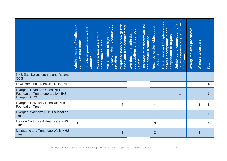|                                                                                                   | of medication<br>by the wrong route<br>Administration | poorly restricted<br>Falls from<br>windows | Mis selection of a strong<br>potassium solution | strength<br>midazolam during conscious<br><b>Mis selection of high</b><br>sedation | Misplaced naso or oro gastric<br>tubes and feed administered | Overdose of insulin due to<br>abbreviations or incorrect<br>device | Overdose of methotrexate for<br>non-cancer treatment | Retained foreign object post<br>procedure | Transfusion or transplantation<br>of ABO incompatible blood<br>components or organs | patient requiring oxygen to an<br>$\boldsymbol{\varpi}$<br>াত $\overline{a}$<br>Unintentional connection<br>air flowmeter | Wrong implant / prosthesis | site surgery<br><b>Wrong</b> | Total                   |
|---------------------------------------------------------------------------------------------------|-------------------------------------------------------|--------------------------------------------|-------------------------------------------------|------------------------------------------------------------------------------------|--------------------------------------------------------------|--------------------------------------------------------------------|------------------------------------------------------|-------------------------------------------|-------------------------------------------------------------------------------------|---------------------------------------------------------------------------------------------------------------------------|----------------------------|------------------------------|-------------------------|
| <b>NHS East Leicestershire and Rutland</b><br><b>CCG</b>                                          |                                                       |                                            |                                                 |                                                                                    |                                                              |                                                                    |                                                      |                                           |                                                                                     |                                                                                                                           |                            |                              |                         |
| Lewisham and Greenwich NHS Trust                                                                  |                                                       |                                            |                                                 |                                                                                    |                                                              |                                                                    |                                                      | 1                                         |                                                                                     |                                                                                                                           |                            | 3                            | 4                       |
| <b>Liverpool Heart and Chest NHS</b><br>Foundation Trust, reported by NHS<br><b>Liverpool CCG</b> |                                                       |                                            |                                                 |                                                                                    |                                                              |                                                                    |                                                      |                                           |                                                                                     | $\overline{1}$                                                                                                            |                            |                              | 1                       |
| <b>Liverpool University Hospitals NHS</b><br><b>Foundation Trust</b>                              |                                                       |                                            |                                                 |                                                                                    | 3                                                            |                                                                    |                                                      | $\overline{4}$                            |                                                                                     |                                                                                                                           |                            | 1                            | 8                       |
| <b>Liverpool Women's NHS Foundation</b><br><b>Trust</b>                                           |                                                       |                                            |                                                 |                                                                                    |                                                              |                                                                    |                                                      | $\overline{1}$                            |                                                                                     |                                                                                                                           |                            |                              | $\overline{\mathbf{1}}$ |
| London North West Healthcare NHS<br><b>Trust</b>                                                  | $\mathbf{1}$                                          |                                            |                                                 |                                                                                    |                                                              |                                                                    |                                                      | 3                                         |                                                                                     |                                                                                                                           |                            |                              | 4                       |
| Maidstone and Tunbridge Wells NHS<br><b>Trust</b>                                                 |                                                       |                                            |                                                 |                                                                                    | 1                                                            |                                                                    |                                                      | $\overline{2}$                            |                                                                                     |                                                                                                                           |                            | 1                            | 4                       |
| Provisional publication of Never Events reported as occurring 1 April 2021 - 28 February 2022     |                                                       |                                            |                                                 |                                                                                    |                                                              |                                                                    |                                                      |                                           |                                                                                     | 18                                                                                                                        |                            |                              |                         |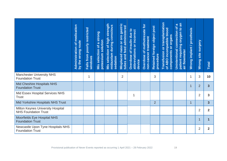|                                                                                               | of medication<br>by the wrong route<br>Administration | poorly restricted<br>Falls from<br>windows | Mis selection of a strong<br>potassium solution | strength<br>midazolam during conscious<br><b>Mis selection of high</b><br>sedation | naso or oro gastric<br>tubes and feed administered<br>Misplaced | Overdose of insulin due to<br>abbreviations or incorrect<br>device | Overdose of methotrexate for<br>non-cancer treatment | Retained foreign object post<br>procedure | Transfusion or transplantation<br>of ABO incompatible blood<br>components or organs | patient requiring oxygen to an<br>$\boldsymbol{\sigma}$<br>connection of<br><b>Unintentional</b><br>air flowmeter | Wrong implant / prosthesis | site surgery<br>Wrong | <b>Total</b>            |
|-----------------------------------------------------------------------------------------------|-------------------------------------------------------|--------------------------------------------|-------------------------------------------------|------------------------------------------------------------------------------------|-----------------------------------------------------------------|--------------------------------------------------------------------|------------------------------------------------------|-------------------------------------------|-------------------------------------------------------------------------------------|-------------------------------------------------------------------------------------------------------------------|----------------------------|-----------------------|-------------------------|
| <b>Manchester University NHS</b><br><b>Foundation Trust</b>                                   |                                                       | 1                                          |                                                 |                                                                                    | $\overline{2}$                                                  |                                                                    |                                                      | 3                                         |                                                                                     |                                                                                                                   | 1                          | 3                     | 10                      |
| Mid Cheshire Hospitals NHS<br><b>Foundation Trust</b>                                         |                                                       |                                            |                                                 |                                                                                    |                                                                 |                                                                    |                                                      |                                           |                                                                                     |                                                                                                                   | $\mathbf 1$                | $\overline{2}$        | 3 <sup>5</sup>          |
| Mid Essex Hospital Services NHS<br><b>Trust</b>                                               |                                                       |                                            |                                                 |                                                                                    |                                                                 | $\mathbf{1}$                                                       |                                                      |                                           |                                                                                     |                                                                                                                   |                            | $\overline{2}$        | $\mathbf{3}$            |
| Mid Yorkshire Hospitals NHS Trust                                                             |                                                       |                                            |                                                 |                                                                                    |                                                                 |                                                                    |                                                      | $\overline{2}$                            |                                                                                     |                                                                                                                   | $\overline{1}$             |                       | 3 <sup>5</sup>          |
| Milton Keynes University Hospital<br><b>NHS Foundation Trust</b>                              |                                                       |                                            |                                                 |                                                                                    |                                                                 |                                                                    |                                                      |                                           |                                                                                     |                                                                                                                   |                            | $\overline{2}$        | $\overline{2}$          |
| <b>Moorfields Eye Hospital NHS</b><br><b>Foundation Trust</b>                                 |                                                       |                                            |                                                 |                                                                                    |                                                                 |                                                                    |                                                      |                                           |                                                                                     |                                                                                                                   |                            | 1                     | $\overline{\mathbf{1}}$ |
| Newcastle Upon Tyne Hospitals NHS<br><b>Foundation Trust</b>                                  |                                                       |                                            |                                                 |                                                                                    |                                                                 |                                                                    |                                                      |                                           |                                                                                     |                                                                                                                   |                            | $\overline{2}$        | $\overline{2}$          |
| Provisional publication of Never Events reported as occurring 1 April 2021 - 28 February 2022 |                                                       |                                            |                                                 |                                                                                    |                                                                 |                                                                    |                                                      |                                           |                                                                                     | 19                                                                                                                |                            |                       |                         |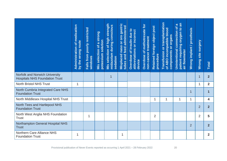|                                                                                               | of medication<br>by the wrong route<br>Administration | poorly restricted<br>Falls from<br>windows | Mis selection of a strong<br>potassium solution | strength<br>midazolam during conscious<br>Mis selection of high<br>sedation | naso or oro gastric<br>tubes and feed administered<br>Misplaced | Overdose of insulin due to<br>abbreviations or incorrect<br>device | Overdose of methotrexate for<br>non-cancer treatment | Retained foreign object post<br>procedure | Transfusion or transplantation<br>of ABO incompatible blood<br>components or organs | patient requiring oxygen to an<br>$\boldsymbol{\sigma}$<br>$\overline{\sigma}$<br>connection<br><b>Unintentional</b><br>air flowmeter | Wrong implant / prosthesis | site surgery<br><b>Wrong</b> | <b>Total</b>            |
|-----------------------------------------------------------------------------------------------|-------------------------------------------------------|--------------------------------------------|-------------------------------------------------|-----------------------------------------------------------------------------|-----------------------------------------------------------------|--------------------------------------------------------------------|------------------------------------------------------|-------------------------------------------|-------------------------------------------------------------------------------------|---------------------------------------------------------------------------------------------------------------------------------------|----------------------------|------------------------------|-------------------------|
| Norfolk and Norwich University<br><b>Hospitals NHS Foundation Trust</b>                       |                                                       |                                            |                                                 | 1                                                                           |                                                                 |                                                                    |                                                      |                                           |                                                                                     |                                                                                                                                       |                            | 1                            | 2 <sup>1</sup>          |
| <b>North Bristol NHS Trust</b>                                                                | $\mathbf{1}$                                          |                                            |                                                 |                                                                             |                                                                 |                                                                    |                                                      |                                           |                                                                                     |                                                                                                                                       |                            | $\mathbf{1}$                 | $\overline{2}$          |
| North Cumbria Integrated Care NHS<br><b>Foundation Trust</b>                                  |                                                       |                                            |                                                 |                                                                             |                                                                 |                                                                    |                                                      |                                           |                                                                                     |                                                                                                                                       | 1                          |                              | $\overline{\mathbf{1}}$ |
| North Middlesex Hospital NHS Trust                                                            |                                                       |                                            |                                                 |                                                                             |                                                                 |                                                                    |                                                      | 1                                         | 1                                                                                   | $\mathbf{1}$                                                                                                                          | $\mathbf{1}$               |                              | 4                       |
| North Tees and Hartlepool NHS<br><b>Foundation Trust</b>                                      |                                                       |                                            |                                                 |                                                                             |                                                                 |                                                                    |                                                      |                                           |                                                                                     |                                                                                                                                       |                            | $\overline{2}$               | 2 <sup>2</sup>          |
| North West Anglia NHS Foundation<br><b>Trust</b>                                              |                                                       | 1                                          |                                                 |                                                                             |                                                                 |                                                                    |                                                      | $\overline{2}$                            |                                                                                     |                                                                                                                                       |                            | $\overline{2}$               | 5                       |
| <b>Northampton General Hospital NHS</b><br><b>Trust</b>                                       |                                                       |                                            |                                                 |                                                                             |                                                                 |                                                                    |                                                      |                                           |                                                                                     |                                                                                                                                       | $\overline{2}$             |                              | 2 <sup>2</sup>          |
| <b>Northern Care Alliance NHS</b><br><b>Foundation Trust</b>                                  | $\mathbf 1$                                           |                                            |                                                 |                                                                             | 1                                                               |                                                                    |                                                      |                                           |                                                                                     |                                                                                                                                       |                            |                              | $\overline{2}$          |
| Provisional publication of Never Events reported as occurring 1 April 2021 - 28 February 2022 |                                                       |                                            |                                                 |                                                                             |                                                                 |                                                                    |                                                      |                                           |                                                                                     | 20                                                                                                                                    |                            |                              |                         |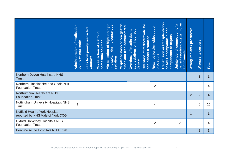|                                                                                               | of medication<br>by the wrong route<br>Administration | poorly restricted<br>Falls from<br>windows | Mis selection of a strong<br>potassium solution | strength<br>midazolam during conscious<br><b>Mis selection of high</b><br>sedation | naso or oro gastric<br>tubes and feed administered<br>Misplaced | Overdose of insulin due to<br>abbreviations or incorrect<br>device | Overdose of methotrexate for<br>non-cancer treatment | Retained foreign object post<br>procedure | Transfusion or transplantation<br>of ABO incompatible blood<br>components or organs | patient requiring oxygen to an<br>$\boldsymbol{\varpi}$<br>Unintentional connection of<br>air flowmeter | Wrong implant / prosthesis | site surgery<br><b>Wrong</b> | <b>Total</b>            |
|-----------------------------------------------------------------------------------------------|-------------------------------------------------------|--------------------------------------------|-------------------------------------------------|------------------------------------------------------------------------------------|-----------------------------------------------------------------|--------------------------------------------------------------------|------------------------------------------------------|-------------------------------------------|-------------------------------------------------------------------------------------|---------------------------------------------------------------------------------------------------------|----------------------------|------------------------------|-------------------------|
| <b>Northern Devon Healthcare NHS</b><br><b>Trust</b>                                          |                                                       |                                            |                                                 |                                                                                    |                                                                 |                                                                    |                                                      |                                           |                                                                                     |                                                                                                         |                            | 1                            | $\overline{\mathbf{1}}$ |
| Northern Lincolnshire and Goole NHS<br><b>Foundation Trust</b>                                |                                                       |                                            |                                                 |                                                                                    |                                                                 |                                                                    |                                                      | $\overline{2}$                            |                                                                                     |                                                                                                         |                            | $\overline{2}$               | 4                       |
| Northumbria Healthcare NHS<br><b>Foundation Trust</b>                                         |                                                       |                                            |                                                 |                                                                                    |                                                                 |                                                                    |                                                      |                                           |                                                                                     |                                                                                                         | $\overline{2}$             | $\overline{2}$               | $\overline{\mathbf{4}}$ |
| <b>Nottingham University Hospitals NHS</b><br><b>Trust</b>                                    | $\mathbf{1}$                                          |                                            |                                                 |                                                                                    |                                                                 |                                                                    |                                                      | $\overline{4}$                            |                                                                                     |                                                                                                         |                            | 5                            | 10                      |
| Nuffield Health, York Hospital<br>reported by NHS Vale of York CCG                            |                                                       |                                            |                                                 |                                                                                    |                                                                 |                                                                    |                                                      |                                           |                                                                                     |                                                                                                         | 1                          |                              | $\overline{\mathbf{1}}$ |
| <b>Oxford University Hospitals NHS</b><br><b>Foundation Trust</b>                             |                                                       |                                            |                                                 |                                                                                    |                                                                 |                                                                    |                                                      | $\overline{2}$                            |                                                                                     | $\overline{2}$                                                                                          |                            |                              | 4                       |
| <b>Pennine Acute Hospitals NHS Trust</b>                                                      |                                                       |                                            |                                                 |                                                                                    |                                                                 |                                                                    |                                                      |                                           |                                                                                     |                                                                                                         |                            | $\overline{2}$               | 2 <sup>2</sup>          |
| Provisional publication of Never Events reported as occurring 1 April 2021 - 28 February 2022 |                                                       |                                            |                                                 |                                                                                    |                                                                 |                                                                    |                                                      |                                           |                                                                                     | 21                                                                                                      |                            |                              |                         |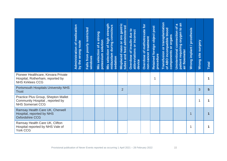|                                                                                                    | <b>Administration of medication</b><br>by the wrong route | poorly restricted<br>Falls from<br>windows | Mis selection of a strong<br>potassium solution | strength<br>midazolam during conscious<br>of high<br><b>Mis selection</b><br>sedation | gastric<br>tubes and feed administered<br>haso or oro<br>Misplaced | Overdose of insulin due to<br>abbreviations or incorrect<br>device | Overdose of methotrexate for<br>non-cancer treatment | Retained foreign object post<br>procedure | Transfusion or transplantation<br>of ABO incompatible blood<br>components or organs | patient requiring oxygen to an<br>$\boldsymbol{\omega}$<br>Unintentional connection of<br>air flowmeter | Wrong implant / prosthesis | site surgery<br><b>Wrong</b> | <b>Total</b>            |
|----------------------------------------------------------------------------------------------------|-----------------------------------------------------------|--------------------------------------------|-------------------------------------------------|---------------------------------------------------------------------------------------|--------------------------------------------------------------------|--------------------------------------------------------------------|------------------------------------------------------|-------------------------------------------|-------------------------------------------------------------------------------------|---------------------------------------------------------------------------------------------------------|----------------------------|------------------------------|-------------------------|
| Pioneer Healthcare, Kinvara Private<br>Hospital, Rotherham, reported by<br><b>NHS Kirklees CCG</b> |                                                           |                                            |                                                 |                                                                                       |                                                                    |                                                                    |                                                      | 1                                         |                                                                                     |                                                                                                         |                            |                              | 1                       |
| <b>Portsmouth Hospitals University NHS</b><br><b>Trust</b>                                         |                                                           |                                            |                                                 |                                                                                       | $\overline{2}$                                                     |                                                                    |                                                      |                                           |                                                                                     |                                                                                                         |                            | 3                            | $5\phantom{1}$          |
| Practice Plus Group, Shepton Mallet<br>Community Hospital, reported by<br><b>NHS Somerset CCG</b>  |                                                           |                                            |                                                 |                                                                                       |                                                                    |                                                                    |                                                      |                                           |                                                                                     |                                                                                                         |                            | 1                            | 1                       |
| Ramsay Health Care UK, Cherwell<br>Hospital, reported by NHS<br><b>Oxfordshire CCG</b>             |                                                           |                                            |                                                 |                                                                                       |                                                                    |                                                                    |                                                      |                                           |                                                                                     |                                                                                                         | 1                          |                              | $\overline{\mathbf{1}}$ |
| Ramsay Health Care UK, Clifton<br>Hospital reported by NHS Vale of<br><b>York CCG</b>              |                                                           |                                            |                                                 |                                                                                       |                                                                    |                                                                    |                                                      |                                           |                                                                                     |                                                                                                         | 1                          |                              | $\mathbf 1$             |
| Provisional publication of Never Events reported as occurring 1 April 2021 - 28 February 2022      |                                                           |                                            |                                                 |                                                                                       |                                                                    |                                                                    |                                                      |                                           |                                                                                     | 22                                                                                                      |                            |                              |                         |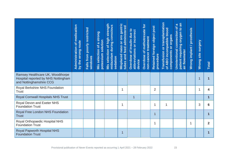|                                                                                                    | of medication<br>by the wrong route<br>Administration | poorly restricted<br>Falls from<br>windows | Mis selection of a strong<br>potassium solution | strength<br>midazolam during conscious<br>of high<br><b>Mis selection</b><br>sedation | Misplaced naso or oro gastric<br>tubes and feed administered | Overdose of insulin due to<br>abbreviations or incorrect<br>device | Overdose of methotrexate for<br>non-cancer treatment | Retained foreign object post<br>procedure | Transfusion or transplantation<br>of ABO incompatible blood<br>components or organs | patient requiring oxygen to an<br>$\pmb{\varpi}$<br>$\delta$<br>Unintentional connection<br>air flowmeter | Wrong implant / prosthesis | site surgery<br><b>Wrong</b> | Total                   |
|----------------------------------------------------------------------------------------------------|-------------------------------------------------------|--------------------------------------------|-------------------------------------------------|---------------------------------------------------------------------------------------|--------------------------------------------------------------|--------------------------------------------------------------------|------------------------------------------------------|-------------------------------------------|-------------------------------------------------------------------------------------|-----------------------------------------------------------------------------------------------------------|----------------------------|------------------------------|-------------------------|
| Ramsey Healthcare UK, Woodthorpe<br>Hospital reported by NHS Nottingham<br>and Nottinghamshire CCG |                                                       |                                            |                                                 |                                                                                       |                                                              |                                                                    |                                                      |                                           |                                                                                     |                                                                                                           |                            | $\overline{1}$               | $\mathbf 1$             |
| Royal Berkshire NHS Foundation<br><b>Trust</b>                                                     |                                                       |                                            |                                                 |                                                                                       | 1                                                            |                                                                    |                                                      | $\overline{2}$                            |                                                                                     |                                                                                                           |                            | 1                            | 4                       |
| <b>Royal Cornwall Hospitals NHS Trust</b>                                                          |                                                       |                                            |                                                 |                                                                                       |                                                              | $\overline{1}$                                                     |                                                      |                                           |                                                                                     |                                                                                                           |                            |                              | $\overline{1}$          |
| Royal Devon and Exeter NHS<br><b>Foundation Trust</b>                                              |                                                       |                                            |                                                 |                                                                                       | 1                                                            |                                                                    |                                                      | 1                                         | 1                                                                                   |                                                                                                           |                            | 3                            | 6                       |
| Royal Free London NHS Foundation<br><b>Trust</b>                                                   |                                                       |                                            |                                                 |                                                                                       |                                                              |                                                                    |                                                      | $\mathbf{1}$                              |                                                                                     |                                                                                                           |                            |                              | $\overline{\mathbf{1}}$ |
| Royal Orthopaedic Hospital NHS<br><b>Foundation Trust</b>                                          |                                                       |                                            |                                                 |                                                                                       |                                                              |                                                                    |                                                      | $\mathbf 1$                               |                                                                                     |                                                                                                           | 1                          |                              | $\overline{2}$          |
| <b>Royal Papworth Hospital NHS</b><br><b>Foundation Trust</b>                                      |                                                       |                                            |                                                 |                                                                                       | 1                                                            |                                                                    |                                                      |                                           |                                                                                     |                                                                                                           |                            |                              | $\mathbf 1$             |
| Provisional publication of Never Events reported as occurring 1 April 2021 - 28 February 2022      |                                                       |                                            |                                                 |                                                                                       |                                                              |                                                                    |                                                      |                                           |                                                                                     | 23                                                                                                        |                            |                              |                         |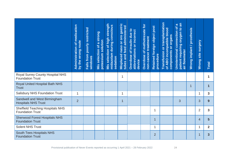|                                                                                               | of medication<br>by the wrong route<br>Administration | poorly restricted<br>Falls from<br>windows | Mis selection of a strong<br>potassium solution | strength<br>midazolam during conscious<br><b>Mis selection of high</b><br>sedation | naso or oro gastric<br>tubes and feed administered<br>Misplaced | Overdose of insulin due to<br>abbreviations or incorrect<br>device | Overdose of methotrexate for<br>non-cancer treatment | Retained foreign object post<br>procedure | Transfusion or transplantation<br>of ABO incompatible blood<br>components or organs | patient requiring oxygen to an<br>$\boldsymbol{\varpi}$<br>Unintentional connection of<br>air flowmeter | Wrong implant / prosthesis | site surgery<br><b>Wrong</b> | <b>Total</b>            |
|-----------------------------------------------------------------------------------------------|-------------------------------------------------------|--------------------------------------------|-------------------------------------------------|------------------------------------------------------------------------------------|-----------------------------------------------------------------|--------------------------------------------------------------------|------------------------------------------------------|-------------------------------------------|-------------------------------------------------------------------------------------|---------------------------------------------------------------------------------------------------------|----------------------------|------------------------------|-------------------------|
| <b>Royal Surrey County Hospital NHS</b><br><b>Foundation Trust</b>                            |                                                       |                                            |                                                 |                                                                                    | 1                                                               |                                                                    |                                                      |                                           |                                                                                     |                                                                                                         |                            |                              | 1                       |
| <b>Royal United Hospital Bath NHS</b><br><b>Trust</b>                                         |                                                       |                                            |                                                 |                                                                                    |                                                                 |                                                                    |                                                      |                                           |                                                                                     |                                                                                                         | 1                          |                              | $\overline{\mathbf{1}}$ |
| <b>Salisbury NHS Foundation Trust</b>                                                         | $\mathbf{1}$                                          |                                            |                                                 |                                                                                    | 1                                                               |                                                                    |                                                      |                                           |                                                                                     |                                                                                                         |                            | $\mathbf{1}$                 | $\overline{3}$          |
| Sandwell and West Birmingham<br><b>Hospitals NHS Trust</b>                                    | $\overline{2}$                                        |                                            |                                                 |                                                                                    | $\overline{1}$                                                  |                                                                    |                                                      |                                           |                                                                                     | 3                                                                                                       |                            | 3                            | 9                       |
| <b>Sheffield Teaching Hospitals NHS</b><br><b>Foundation Trust</b>                            |                                                       |                                            |                                                 |                                                                                    |                                                                 |                                                                    |                                                      | 1                                         |                                                                                     |                                                                                                         |                            | $\overline{2}$               | $\mathbf{3}$            |
| <b>Sherwood Forest Hospitals NHS</b><br><b>Foundation Trust</b>                               |                                                       |                                            |                                                 |                                                                                    |                                                                 |                                                                    |                                                      | 1                                         |                                                                                     |                                                                                                         |                            | $\overline{4}$               | 5                       |
| <b>Solent NHS Trust</b>                                                                       |                                                       |                                            |                                                 |                                                                                    |                                                                 |                                                                    |                                                      | 1                                         |                                                                                     |                                                                                                         |                            | $\mathbf{1}$                 | $\overline{2}$          |
| <b>South Tees Hospitals NHS</b><br><b>Foundation Trust</b>                                    |                                                       |                                            |                                                 |                                                                                    |                                                                 |                                                                    |                                                      | $\overline{2}$                            |                                                                                     |                                                                                                         |                            | $\overline{1}$               | $\overline{3}$          |
| Provisional publication of Never Events reported as occurring 1 April 2021 - 28 February 2022 |                                                       |                                            |                                                 |                                                                                    |                                                                 |                                                                    |                                                      |                                           |                                                                                     | 24                                                                                                      |                            |                              |                         |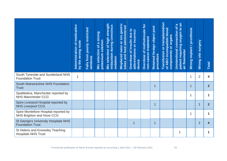|                                                                                               | of medication<br>by the wrong route<br>Administration | poorly restricted<br>Falls from<br>windows | Mis selection of a strong<br>potassium solution | strength<br>midazolam during conscious<br>Mis selection of high<br>sedation | naso or oro gastric<br>tubes and feed administered<br>Misplaced | Overdose of insulin due to<br>abbreviations or incorrect<br>device | Overdose of methotrexate for<br>non-cancer treatment | Retained foreign object post<br>procedure | Transfusion or transplantation<br>of ABO incompatible blood<br>components or organs | patient requiring oxygen to an<br>$\boldsymbol{\sigma}$<br>$\overline{\sigma}$<br>connection<br><b>Unintentional</b><br>air flowmeter | Wrong implant / prosthesis | site surgery<br>Wrong | <b>Total</b>   |
|-----------------------------------------------------------------------------------------------|-------------------------------------------------------|--------------------------------------------|-------------------------------------------------|-----------------------------------------------------------------------------|-----------------------------------------------------------------|--------------------------------------------------------------------|------------------------------------------------------|-------------------------------------------|-------------------------------------------------------------------------------------|---------------------------------------------------------------------------------------------------------------------------------------|----------------------------|-----------------------|----------------|
| South Tyneside and Sunderland NHS<br><b>Foundation Trust</b>                                  | $\mathbf{1}$                                          |                                            |                                                 |                                                                             |                                                                 |                                                                    |                                                      |                                           |                                                                                     |                                                                                                                                       | 1                          | $\overline{2}$        | 4              |
| South Warwickshire NHS Foundation<br><b>Trust</b>                                             |                                                       |                                            |                                                 |                                                                             |                                                                 |                                                                    |                                                      | $\mathbf 1$                               |                                                                                     |                                                                                                                                       | $\mathbf{1}$               |                       | $\overline{2}$ |
| SpaMedica, Manchester reported by<br><b>NHS Manchester CCG</b>                                |                                                       |                                            |                                                 |                                                                             |                                                                 |                                                                    |                                                      |                                           |                                                                                     |                                                                                                                                       | 1                          |                       | 1              |
| Spire Liverpool Hospital reported by<br><b>NHS Liverpool CCG</b>                              |                                                       |                                            |                                                 |                                                                             |                                                                 |                                                                    |                                                      | $\overline{1}$                            |                                                                                     |                                                                                                                                       |                            | 1                     | 2 <sup>2</sup> |
| Spire Montefiore Hospital reported by<br>NHS Brighton and Hove CCG                            |                                                       |                                            |                                                 |                                                                             |                                                                 |                                                                    |                                                      |                                           |                                                                                     |                                                                                                                                       | $\mathbf{1}$               |                       | 1              |
| <b>St George's University Hospitals NHS</b><br><b>Foundation Trust</b>                        |                                                       |                                            |                                                 |                                                                             |                                                                 | $\mathbf 1$                                                        |                                                      | $\overline{1}$                            |                                                                                     |                                                                                                                                       |                            | $\overline{2}$        | 4              |
| St Helens and Knowsley Teaching<br><b>Hospitals NHS Trust</b>                                 |                                                       |                                            |                                                 |                                                                             |                                                                 |                                                                    |                                                      |                                           |                                                                                     | 1                                                                                                                                     |                            |                       | 1              |
| Provisional publication of Never Events reported as occurring 1 April 2021 - 28 February 2022 |                                                       |                                            |                                                 |                                                                             |                                                                 |                                                                    |                                                      |                                           |                                                                                     | 25                                                                                                                                    |                            |                       |                |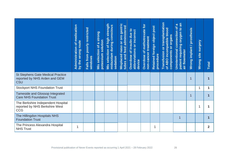|                                                                                               | <b>Administration of medication</b><br>by the wrong route | poorly restricted<br>Falls from<br>windows | Mis selection of a strong<br>potassium solution | strength<br>midazolam during conscious<br>of high<br><b>Mis selection</b><br>sedation | Misplaced naso or oro gastric<br>tubes and feed administered | Overdose of insulin due to<br>abbreviations or incorrect<br>device | Overdose of methotrexate for<br>non-cancer treatment | Retained foreign object post<br>procedure | Transfusion or transplantation<br>of ABO incompatible blood<br>components or organs | patient requiring oxygen to an<br>$\pmb{\varpi}$<br>$\delta$<br><b>Unintentional connection</b><br>air flowmeter | Wrong implant / prosthesis | site surgery<br>Wrong | Total          |
|-----------------------------------------------------------------------------------------------|-----------------------------------------------------------|--------------------------------------------|-------------------------------------------------|---------------------------------------------------------------------------------------|--------------------------------------------------------------|--------------------------------------------------------------------|------------------------------------------------------|-------------------------------------------|-------------------------------------------------------------------------------------|------------------------------------------------------------------------------------------------------------------|----------------------------|-----------------------|----------------|
| <b>St Stephens Gate Medical Practice</b><br>reported by NHS Arden and GEM<br><b>CSU</b>       |                                                           |                                            |                                                 |                                                                                       |                                                              |                                                                    |                                                      |                                           |                                                                                     |                                                                                                                  | $\overline{1}$             |                       | $\mathbf 1$    |
| <b>Stockport NHS Foundation Trust</b>                                                         |                                                           |                                            |                                                 |                                                                                       |                                                              |                                                                    |                                                      |                                           |                                                                                     |                                                                                                                  |                            | $\mathbf 1$           | 1              |
| Tameside and Glossop Integrated<br><b>Care NHS Foundation Trust</b>                           |                                                           |                                            |                                                 |                                                                                       |                                                              |                                                                    |                                                      |                                           |                                                                                     |                                                                                                                  | $\overline{1}$             |                       | $\overline{1}$ |
| The Berkshire Independent Hospital<br>reported by NHS Berkshire West<br><b>CCG</b>            |                                                           |                                            |                                                 |                                                                                       |                                                              |                                                                    |                                                      |                                           |                                                                                     |                                                                                                                  |                            | 1                     | 1              |
| The Hillingdon Hospitals NHS<br><b>Foundation Trust</b>                                       |                                                           |                                            |                                                 |                                                                                       |                                                              |                                                                    |                                                      |                                           |                                                                                     | $\overline{1}$                                                                                                   |                            |                       | $\mathbf 1$    |
| The Princess Alexandra Hospital<br><b>NHS Trust</b>                                           | 1                                                         |                                            |                                                 |                                                                                       |                                                              |                                                                    |                                                      | 1                                         |                                                                                     |                                                                                                                  |                            |                       | $\overline{2}$ |
| Provisional publication of Never Events reported as occurring 1 April 2021 - 28 February 2022 |                                                           |                                            |                                                 |                                                                                       |                                                              |                                                                    |                                                      |                                           |                                                                                     | 26                                                                                                               |                            |                       |                |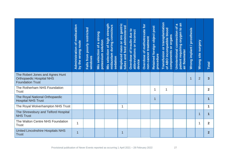|                                                                                               | of medication<br>by the wrong route<br>Administration | poorly restricted<br>Falls from<br>windows | Mis selection of a strong<br>potassium solution | strength<br>midazolam during conscious<br><b>Mis selection of high</b><br>sedation | Misplaced naso or oro gastric<br>tubes and feed administered | Overdose of insulin due to<br>abbreviations or incorrect<br>device | Overdose of methotrexate for<br>non-cancer treatment | Retained foreign object post<br>procedure | Transfusion or transplantation<br>of ABO incompatible blood<br>components or organs | patient requiring oxygen to an<br>$\pmb{\varpi}$<br>b<br>Unintentional connection<br>air flowmeter | Wrong implant / prosthesis | site surgery<br>Wrong | <b>Total</b>   |
|-----------------------------------------------------------------------------------------------|-------------------------------------------------------|--------------------------------------------|-------------------------------------------------|------------------------------------------------------------------------------------|--------------------------------------------------------------|--------------------------------------------------------------------|------------------------------------------------------|-------------------------------------------|-------------------------------------------------------------------------------------|----------------------------------------------------------------------------------------------------|----------------------------|-----------------------|----------------|
| The Robert Jones and Agnes Hunt<br><b>Orthopaedic Hospital NHS</b><br><b>Foundation Trust</b> |                                                       |                                            |                                                 |                                                                                    |                                                              |                                                                    |                                                      |                                           |                                                                                     |                                                                                                    | $\overline{1}$             | $\overline{2}$        | $\overline{3}$ |
| The Rotherham NHS Foundation<br><b>Trust</b>                                                  |                                                       |                                            |                                                 |                                                                                    |                                                              |                                                                    |                                                      | $\mathbf 1$                               | 1                                                                                   |                                                                                                    |                            |                       | $\overline{2}$ |
| The Royal National Orthopaedic<br><b>Hospital NHS Trust</b>                                   |                                                       |                                            |                                                 |                                                                                    |                                                              |                                                                    |                                                      | $\mathbf{1}$                              |                                                                                     |                                                                                                    |                            |                       | $\overline{1}$ |
| The Royal Wolverhampton NHS Trust                                                             |                                                       |                                            |                                                 |                                                                                    | 1                                                            |                                                                    |                                                      |                                           |                                                                                     |                                                                                                    |                            |                       | 1              |
| The Shrewsbury and Telford Hospital<br><b>NHS Trust</b>                                       |                                                       |                                            |                                                 |                                                                                    |                                                              |                                                                    |                                                      |                                           |                                                                                     |                                                                                                    |                            | 1                     | $\overline{1}$ |
| The Walton Centre NHS Foundation<br><b>Trust</b>                                              | $\mathbf{1}$                                          |                                            |                                                 |                                                                                    |                                                              |                                                                    |                                                      |                                           |                                                                                     |                                                                                                    |                            | 1                     | $\overline{2}$ |
| <b>United Lincolnshire Hospitals NHS</b><br><b>Trust</b>                                      | $\mathbf{1}$                                          |                                            |                                                 |                                                                                    | 1                                                            |                                                                    |                                                      |                                           |                                                                                     |                                                                                                    |                            |                       | $\overline{2}$ |
| Provisional publication of Never Events reported as occurring 1 April 2021 - 28 February 2022 |                                                       |                                            |                                                 |                                                                                    |                                                              |                                                                    |                                                      |                                           |                                                                                     | 27                                                                                                 |                            |                       |                |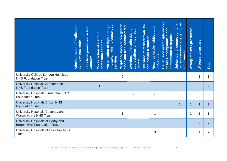|                                                                                               | of medication<br>by the wrong route<br>Administration | poorly restricted<br>Falls from<br>windows | Mis selection of a strong<br>potassium solution | strength<br>midazolam during conscious<br><b>Mis selection of high</b><br>sedation | naso or oro gastric<br><b>Misplaced naso or oro gastrionally</b> | Overdose of insulin due to<br>abbreviations or incorrect<br>device | Overdose of methotrexate for<br>non-cancer treatment | Retained foreign object post<br>procedure | Transfusion or transplantation<br>of ABO incompatible blood<br>components or organs | patient requiring oxygen to an<br>$\boldsymbol{\sigma}$<br>াই<br>connection<br><b>Unintentional</b><br>air flowmeter | Wrong implant / prosthesis | site surgery<br>Wrong | <b>Total</b>   |
|-----------------------------------------------------------------------------------------------|-------------------------------------------------------|--------------------------------------------|-------------------------------------------------|------------------------------------------------------------------------------------|------------------------------------------------------------------|--------------------------------------------------------------------|------------------------------------------------------|-------------------------------------------|-------------------------------------------------------------------------------------|----------------------------------------------------------------------------------------------------------------------|----------------------------|-----------------------|----------------|
| University College London Hospitals<br><b>NHS Foundation Trust</b>                            |                                                       |                                            |                                                 |                                                                                    | $\overline{2}$                                                   |                                                                    |                                                      |                                           |                                                                                     |                                                                                                                      |                            | 1                     | $\mathbf{3}$   |
| <b>University Hospital Southampton</b><br><b>NHS Foundation Trust</b>                         |                                                       |                                            | 1                                               |                                                                                    |                                                                  |                                                                    |                                                      | $\overline{1}$                            |                                                                                     |                                                                                                                      | $\overline{1}$             | 3                     | 6              |
| University Hospitals Birmingham NHS<br><b>Foundation Trust</b>                                |                                                       |                                            |                                                 |                                                                                    |                                                                  | 1                                                                  |                                                      | 1                                         |                                                                                     |                                                                                                                      | $\mathbf 1$                |                       | 3              |
| <b>University Hospitals Bristol NHS</b><br><b>Foundation Trust</b>                            |                                                       |                                            |                                                 |                                                                                    |                                                                  |                                                                    |                                                      |                                           |                                                                                     |                                                                                                                      | $\overline{1}$             | 1                     | 3 <sup>1</sup> |
| University Hospitals Coventry and<br><b>Warwickshire NHS Trust</b>                            |                                                       |                                            |                                                 |                                                                                    | 1                                                                |                                                                    |                                                      | 1                                         |                                                                                     |                                                                                                                      | $\overline{2}$             | 1                     | 5              |
| University Hospitals of Derby and<br><b>Burton NHS Foundation Trust</b>                       |                                                       |                                            |                                                 |                                                                                    |                                                                  |                                                                    |                                                      |                                           |                                                                                     |                                                                                                                      |                            | $\overline{7}$        | $\overline{7}$ |
| University Hospitals of Leicester NHS<br><b>Trust</b>                                         |                                                       |                                            |                                                 |                                                                                    |                                                                  |                                                                    |                                                      | 3                                         |                                                                                     |                                                                                                                      |                            | 4                     | $\overline{7}$ |
| Provisional publication of Never Events reported as occurring 1 April 2021 - 28 February 2022 |                                                       |                                            |                                                 |                                                                                    |                                                                  |                                                                    |                                                      |                                           |                                                                                     | 28                                                                                                                   |                            |                       |                |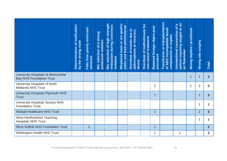|                                                                                                     | of medication<br>by the wrong route<br>Administration | poorly restricted<br>Falls from<br>windows | Mis selection of a strong<br>potassium solution | strength<br>midazolam during conscious<br><b>Mis selection of high</b><br>sedation | Misplaced naso or oro gastric<br>tubes and feed administered | Overdose of insulin due to<br>abbreviations or incorrect<br>device | Overdose of methotrexate for<br>non-cancer treatment | Retained foreign object post<br>procedure | Transfusion or transplantation<br>of ABO incompatible blood<br>components or organs | patient requiring oxygen to an<br>$\boldsymbol{\varpi}$<br>$\delta$<br>Unintentional connection<br>air flowmeter | Wrong implant / prosthesis | site surgery<br><b>Wrong</b> | Total                   |
|-----------------------------------------------------------------------------------------------------|-------------------------------------------------------|--------------------------------------------|-------------------------------------------------|------------------------------------------------------------------------------------|--------------------------------------------------------------|--------------------------------------------------------------------|------------------------------------------------------|-------------------------------------------|-------------------------------------------------------------------------------------|------------------------------------------------------------------------------------------------------------------|----------------------------|------------------------------|-------------------------|
| University Hospitals of Morecambe<br><b>Bay NHS Foundation Trust</b>                                |                                                       |                                            |                                                 |                                                                                    |                                                              |                                                                    |                                                      |                                           |                                                                                     |                                                                                                                  | $\overline{1}$             | 1                            | 2 <sup>2</sup>          |
| University Hospitals of North<br><b>Midlands NHS Trust</b>                                          |                                                       |                                            |                                                 |                                                                                    |                                                              |                                                                    |                                                      | $\overline{2}$                            |                                                                                     |                                                                                                                  | 1                          | $\overline{2}$               | 5                       |
| University Hospitals Plymouth NHS<br><b>Trust</b>                                                   |                                                       |                                            |                                                 |                                                                                    |                                                              |                                                                    |                                                      | 1                                         |                                                                                     |                                                                                                                  |                            | $\overline{2}$               | $\overline{\mathbf{3}}$ |
| <b>University Hospitals Sussex NHS</b><br><b>Foundation Trust</b>                                   |                                                       |                                            |                                                 |                                                                                    |                                                              |                                                                    |                                                      |                                           |                                                                                     |                                                                                                                  |                            | 1                            | 1                       |
| <b>Walsall Healthcare NHS Trust</b>                                                                 |                                                       |                                            |                                                 |                                                                                    |                                                              |                                                                    |                                                      | $\overline{1}$                            |                                                                                     |                                                                                                                  |                            | $\overline{2}$               | 3 <sup>5</sup>          |
| West Hertfordshire Teaching<br><b>Hospitals NHS Trust</b>                                           |                                                       |                                            |                                                 |                                                                                    |                                                              |                                                                    |                                                      |                                           |                                                                                     |                                                                                                                  |                            | 1                            | 1                       |
| <b>West Suffolk NHS Foundation Trust</b>                                                            |                                                       | $\overline{1}$                             |                                                 |                                                                                    |                                                              |                                                                    |                                                      | $\mathbf 1$                               |                                                                                     |                                                                                                                  |                            |                              | 2 <sup>2</sup>          |
| <b>Whittington Health NHS Trust</b>                                                                 |                                                       |                                            |                                                 |                                                                                    |                                                              |                                                                    |                                                      | $\mathbf 1$                               |                                                                                     | 1                                                                                                                |                            |                              | $\overline{2}$          |
| Provisional publication of Never Events reported as occurring 1 April 2021 - 28 February 2022<br>29 |                                                       |                                            |                                                 |                                                                                    |                                                              |                                                                    |                                                      |                                           |                                                                                     |                                                                                                                  |                            |                              |                         |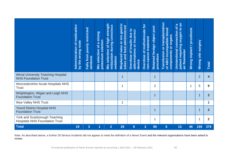|                                                                                                                                                                                                                                                                                     | medication<br>by the wrong route<br>$\delta$<br>Administration | poorly restricted<br>Falls from<br>windows | Mis selection of a strong<br>potassium solution | strength<br>midazolam during conscious<br>of high<br>selection<br>sedation<br>Mis | or oro gastric<br>tubes and feed administered<br>naso<br>Misplaced | Overdose of insulin due to<br>abbreviations or incorrect<br>device | Overdose of methotrexate for<br>non-cancer treatment | Retained foreign object post<br>procedure | or transplantation<br>of ABO incompatible blood<br>components or organs<br>Transfusion | patient requiring oxygen to an<br>$\boldsymbol{\sigma}$<br>৳<br>connection<br>Unintentional<br>air flowmeter | Wrong implant / prosthesis | site surgery<br>Wrong | <b>Total</b>            |
|-------------------------------------------------------------------------------------------------------------------------------------------------------------------------------------------------------------------------------------------------------------------------------------|----------------------------------------------------------------|--------------------------------------------|-------------------------------------------------|-----------------------------------------------------------------------------------|--------------------------------------------------------------------|--------------------------------------------------------------------|------------------------------------------------------|-------------------------------------------|----------------------------------------------------------------------------------------|--------------------------------------------------------------------------------------------------------------|----------------------------|-----------------------|-------------------------|
| <b>Wirral University Teaching Hospital</b><br><b>NHS Foundation Trust</b>                                                                                                                                                                                                           |                                                                |                                            |                                                 |                                                                                   | 1                                                                  |                                                                    |                                                      | $\mathbf{1}$                              |                                                                                        |                                                                                                              |                            | $\overline{2}$        | $\overline{\mathbf{4}}$ |
| Worcestershire Acute Hospitals NHS<br><b>Trust</b>                                                                                                                                                                                                                                  |                                                                |                                            |                                                 |                                                                                   | 1                                                                  |                                                                    |                                                      | $\overline{2}$                            |                                                                                        |                                                                                                              | 1                          | 5                     | 9                       |
| Wrightington, Wigan and Leigh NHS<br><b>Foundation Trust</b>                                                                                                                                                                                                                        |                                                                |                                            |                                                 |                                                                                   |                                                                    |                                                                    |                                                      | $\mathbf{1}$                              |                                                                                        |                                                                                                              |                            | 1                     | $\overline{2}$          |
| <b>Wye Valley NHS Trust</b>                                                                                                                                                                                                                                                         |                                                                |                                            |                                                 |                                                                                   | 1                                                                  |                                                                    |                                                      |                                           |                                                                                        |                                                                                                              |                            |                       | $\mathbf 1$             |
| <b>Yeovil District Hospital NHS</b><br><b>Foundation Trust</b>                                                                                                                                                                                                                      |                                                                |                                            |                                                 |                                                                                   |                                                                    |                                                                    |                                                      | $\mathbf{1}$                              |                                                                                        |                                                                                                              |                            | 1                     | $\overline{2}$          |
| York and Scarborough Teaching<br><b>Hospitals NHS Foundation Trust</b>                                                                                                                                                                                                              |                                                                |                                            |                                                 |                                                                                   |                                                                    |                                                                    |                                                      | 1                                         |                                                                                        |                                                                                                              |                            | 1                     | $\overline{2}$          |
| <b>Total</b>                                                                                                                                                                                                                                                                        | 19                                                             | $3\overline{3}$                            | $\overline{1}$                                  | $\overline{2}$                                                                    | 29                                                                 | 9                                                                  | $\overline{2}$                                       | 90                                        | 6 <sup>°</sup>                                                                         | 13                                                                                                           | 46                         | 159                   | 379                     |
| Note: As described above, a further 28 Serious Incidents did not appear to meet the definition of a Never Event and the relevant organisations have been asked to<br>review.<br>Provisional publication of Never Events reported as occurring 1 April 2021 - 28 February 2022<br>30 |                                                                |                                            |                                                 |                                                                                   |                                                                    |                                                                    |                                                      |                                           |                                                                                        |                                                                                                              |                            |                       |                         |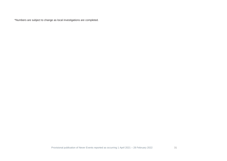\*Numbers are subject to change as local investigations are completed.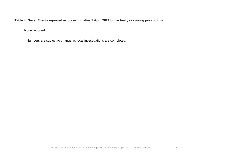#### **Table 4: Never Events reported as occurring after 1 April 2021 but actually occurring prior to this**

. None reported.

\* Numbers are subject to change as local investigations are completed.